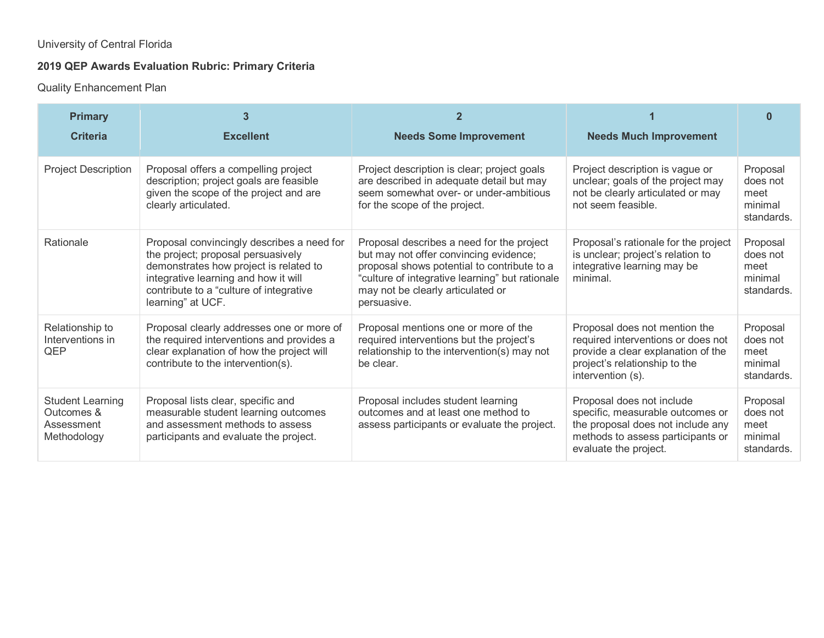## University of Central Florida

## **2019 QEP Awards Evaluation Rubric: Primary Criteria**

Quality Enhancement Plan

| <b>Primary</b><br><b>Criteria</b>                                  | 3<br><b>Excellent</b>                                                                                                                                                                                                              | 2<br><b>Needs Some Improvement</b>                                                                                                                                                                                                        | <b>Needs Much Improvement</b>                                                                                                                                    | ⋂                                                     |
|--------------------------------------------------------------------|------------------------------------------------------------------------------------------------------------------------------------------------------------------------------------------------------------------------------------|-------------------------------------------------------------------------------------------------------------------------------------------------------------------------------------------------------------------------------------------|------------------------------------------------------------------------------------------------------------------------------------------------------------------|-------------------------------------------------------|
| <b>Project Description</b>                                         | Proposal offers a compelling project<br>description; project goals are feasible<br>given the scope of the project and are<br>clearly articulated.                                                                                  | Project description is clear; project goals<br>are described in adequate detail but may<br>seem somewhat over- or under-ambitious<br>for the scope of the project.                                                                        | Project description is vague or<br>unclear; goals of the project may<br>not be clearly articulated or may<br>not seem feasible.                                  | Proposal<br>does not<br>meet<br>minimal<br>standards. |
| Rationale                                                          | Proposal convincingly describes a need for<br>the project; proposal persuasively<br>demonstrates how project is related to<br>integrative learning and how it will<br>contribute to a "culture of integrative<br>learning" at UCF. | Proposal describes a need for the project<br>but may not offer convincing evidence;<br>proposal shows potential to contribute to a<br>"culture of integrative learning" but rationale<br>may not be clearly articulated or<br>persuasive. | Proposal's rationale for the project<br>is unclear; project's relation to<br>integrative learning may be<br>minimal.                                             | Proposal<br>does not<br>meet<br>minimal<br>standards. |
| Relationship to<br>Interventions in<br>QEP                         | Proposal clearly addresses one or more of<br>the required interventions and provides a<br>clear explanation of how the project will<br>contribute to the intervention(s).                                                          | Proposal mentions one or more of the<br>required interventions but the project's<br>relationship to the intervention(s) may not<br>be clear.                                                                                              | Proposal does not mention the<br>required interventions or does not<br>provide a clear explanation of the<br>project's relationship to the<br>intervention (s).  | Proposal<br>does not<br>meet<br>minimal<br>standards. |
| <b>Student Learning</b><br>Outcomes &<br>Assessment<br>Methodology | Proposal lists clear, specific and<br>measurable student learning outcomes<br>and assessment methods to assess<br>participants and evaluate the project.                                                                           | Proposal includes student learning<br>outcomes and at least one method to<br>assess participants or evaluate the project.                                                                                                                 | Proposal does not include<br>specific, measurable outcomes or<br>the proposal does not include any<br>methods to assess participants or<br>evaluate the project. | Proposal<br>does not<br>meet<br>minimal<br>standards. |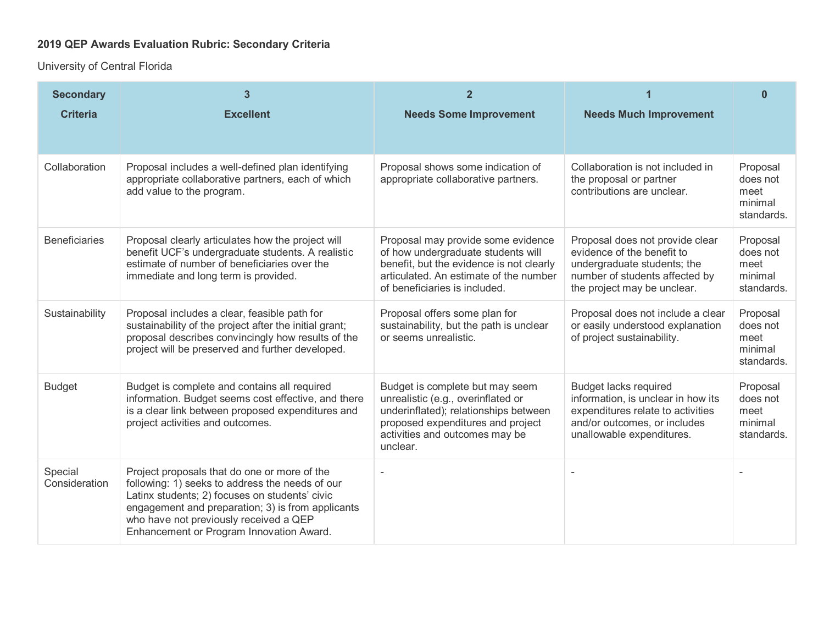## **2019 QEP Awards Evaluation Rubric: Secondary Criteria**

University of Central Florida

| <b>Secondary</b><br><b>Criteria</b> | 3<br><b>Excellent</b>                                                                                                                                                                                                                                                                        | $\overline{2}$<br><b>Needs Some Improvement</b>                                                                                                                                                   | <b>Needs Much Improvement</b>                                                                                                                                        | $\Omega$                                              |
|-------------------------------------|----------------------------------------------------------------------------------------------------------------------------------------------------------------------------------------------------------------------------------------------------------------------------------------------|---------------------------------------------------------------------------------------------------------------------------------------------------------------------------------------------------|----------------------------------------------------------------------------------------------------------------------------------------------------------------------|-------------------------------------------------------|
| Collaboration                       | Proposal includes a well-defined plan identifying<br>appropriate collaborative partners, each of which<br>add value to the program.                                                                                                                                                          | Proposal shows some indication of<br>appropriate collaborative partners.                                                                                                                          | Collaboration is not included in<br>the proposal or partner<br>contributions are unclear.                                                                            | Proposal<br>does not<br>meet<br>minimal<br>standards. |
| <b>Beneficiaries</b>                | Proposal clearly articulates how the project will<br>benefit UCF's undergraduate students. A realistic<br>estimate of number of beneficiaries over the<br>immediate and long term is provided.                                                                                               | Proposal may provide some evidence<br>of how undergraduate students will<br>benefit, but the evidence is not clearly<br>articulated. An estimate of the number<br>of beneficiaries is included.   | Proposal does not provide clear<br>evidence of the benefit to<br>undergraduate students; the<br>number of students affected by<br>the project may be unclear.        | Proposal<br>does not<br>meet<br>minimal<br>standards. |
| Sustainability                      | Proposal includes a clear, feasible path for<br>sustainability of the project after the initial grant;<br>proposal describes convincingly how results of the<br>project will be preserved and further developed.                                                                             | Proposal offers some plan for<br>sustainability, but the path is unclear<br>or seems unrealistic.                                                                                                 | Proposal does not include a clear<br>or easily understood explanation<br>of project sustainability.                                                                  | Proposal<br>does not<br>meet<br>minimal<br>standards. |
| <b>Budget</b>                       | Budget is complete and contains all required<br>information. Budget seems cost effective, and there<br>is a clear link between proposed expenditures and<br>project activities and outcomes.                                                                                                 | Budget is complete but may seem<br>unrealistic (e.g., overinflated or<br>underinflated); relationships between<br>proposed expenditures and project<br>activities and outcomes may be<br>unclear. | <b>Budget lacks required</b><br>information, is unclear in how its<br>expenditures relate to activities<br>and/or outcomes, or includes<br>unallowable expenditures. | Proposal<br>does not<br>meet<br>minimal<br>standards. |
| Special<br>Consideration            | Project proposals that do one or more of the<br>following: 1) seeks to address the needs of our<br>Latinx students; 2) focuses on students' civic<br>engagement and preparation; 3) is from applicants<br>who have not previously received a QEP<br>Enhancement or Program Innovation Award. |                                                                                                                                                                                                   |                                                                                                                                                                      |                                                       |